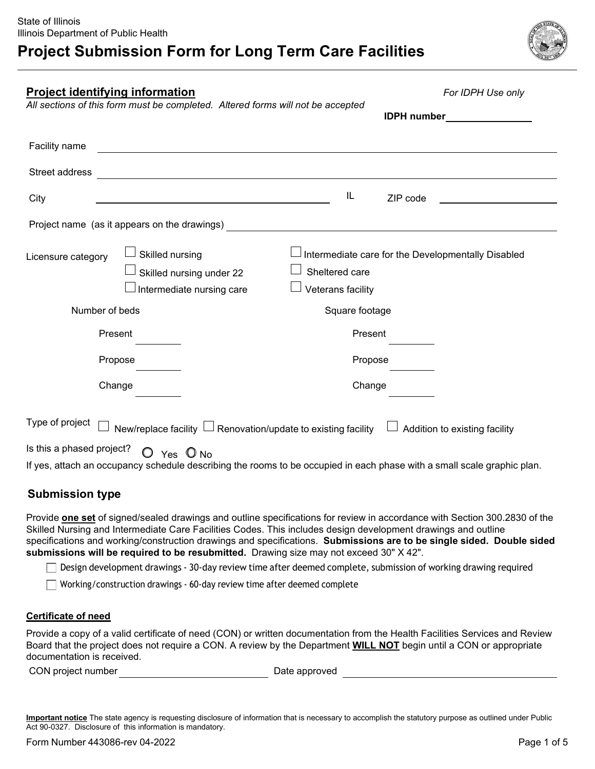

| <b>Project identifying information</b> |                                                                                 | For IDPH Use only                                                                                                       |
|----------------------------------------|---------------------------------------------------------------------------------|-------------------------------------------------------------------------------------------------------------------------|
|                                        | All sections of this form must be completed. Altered forms will not be accepted | <b>IDPH</b> number                                                                                                      |
| Facility name                          |                                                                                 |                                                                                                                         |
| Street address                         |                                                                                 |                                                                                                                         |
| City                                   | <u> 1989 - Johann Barn, fransk politik formuler (d. 1989)</u>                   | IL<br>ZIP code                                                                                                          |
|                                        | Project name (as it appears on the drawings)                                    |                                                                                                                         |
| Licensure category                     | Skilled nursing<br>Skilled nursing under 22<br>Intermediate nursing care        | Sheltered care<br>Veterans facility                                                                                     |
| Number of beds                         |                                                                                 | Square footage                                                                                                          |
| Present                                |                                                                                 | Present                                                                                                                 |
| Propose                                |                                                                                 | Propose                                                                                                                 |
| Change                                 |                                                                                 | Change                                                                                                                  |
| Type of project                        | New/replace facility $\Box$ Renovation/update to existing facility              | Addition to existing facility                                                                                           |
| Is this a phased project?              | $O$ Yes $O$ No                                                                  | If yes, attach an occupancy schedule describing the rooms to be occupied in each phase with a small scale graphic plan. |

### **Submission type**

Provide **one set** of signed/sealed drawings and outline specifications for review in accordance with Section 300.2830 of the Skilled Nursing and Intermediate Care Facilities Codes. This includes design development drawings and outline specifications and working/construction drawings and specifications. **Submissions are to be single sided. Double sided submissions will be required to be resubmitted.** Drawing size may not exceed 30" X 42".

Design development drawings - 30-day review time after deemed complete, submission of working drawing required

Working/construction drawings - 60-day review time after deemed complete

#### **Certificate of need**

Provide a copy of a valid certificate of need (CON) or written documentation from the Health Facilities Services and Review Board that the project does not require a CON. A review by the Department **WILL NOT** begin until a CON or appropriate documentation is received.

CON project number and the control of the Date approved

**Important notice** The state agency is requesting disclosure of information that is necessary to accomplish the statutory purpose as outlined under Public Act 90-0327. Disclosure of this information is mandatory.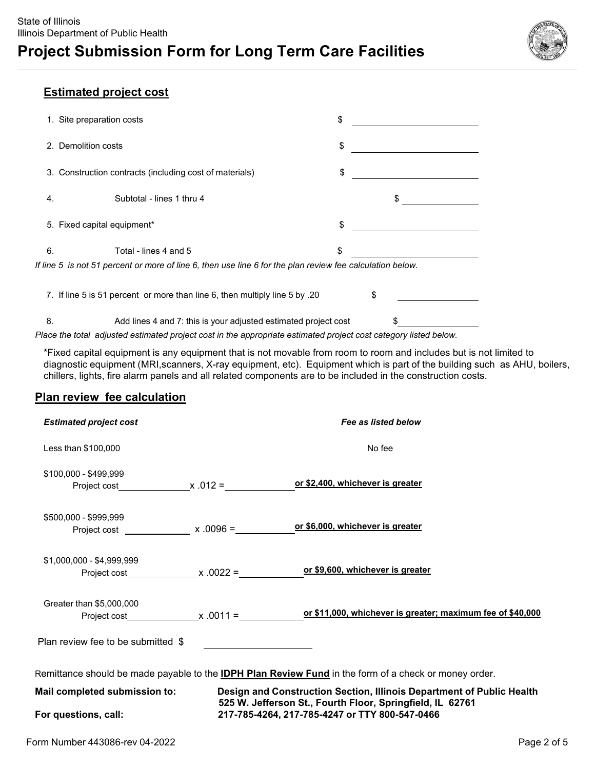

### **Estimated project cost**

|                                                                                                           | 1. Site preparation costs                                                                                        | \$ |    |  |
|-----------------------------------------------------------------------------------------------------------|------------------------------------------------------------------------------------------------------------------|----|----|--|
| 2. Demolition costs                                                                                       |                                                                                                                  | \$ |    |  |
|                                                                                                           | 3. Construction contracts (including cost of materials)                                                          | \$ |    |  |
| 4.                                                                                                        | Subtotal - lines 1 thru 4                                                                                        |    |    |  |
|                                                                                                           | 5. Fixed capital equipment*                                                                                      | \$ |    |  |
| 6.                                                                                                        | Total - lines 4 and 5                                                                                            | \$ |    |  |
| If line 5 is not 51 percent or more of line 6, then use line 6 for the plan review fee calculation below. |                                                                                                                  |    |    |  |
|                                                                                                           | 7. If line 5 is 51 percent or more than line 6, then multiply line 5 by .20                                      |    | \$ |  |
| 8.                                                                                                        | Add lines 4 and 7: this is your adjusted estimated project cost                                                  |    |    |  |
|                                                                                                           | that all collected and the about and control the theorem while and the democratical and and control that all the |    |    |  |

*Place the total adjusted estimated project cost in the appropriate estimated project cost category listed below.*

\*Fixed capital equipment is any equipment that is not movable from room to room and includes but is not limited to diagnostic equipment (MRI,scanners, X-ray equipment, etc). Equipment which is part of the building such as AHU, boilers, chillers, lights, fire alarm panels and all related components are to be included in the construction costs.

### **Plan review fee calculation**

| <b>Estimated project cost</b>                                                                                                                                       |  | Fee as listed below                            |  |  |  |
|---------------------------------------------------------------------------------------------------------------------------------------------------------------------|--|------------------------------------------------|--|--|--|
| Less than \$100,000                                                                                                                                                 |  | No fee                                         |  |  |  |
| \$100,000 - \$499,999                                                                                                                                               |  |                                                |  |  |  |
| \$500,000 - \$999,999                                                                                                                                               |  | or \$6,000, whichever is greater               |  |  |  |
| \$1,000,000 - \$4,999,999                                                                                                                                           |  | or \$9,600, whichever is greater               |  |  |  |
| Greater than \$5,000,000                                                                                                                                            |  |                                                |  |  |  |
| Plan review fee to be submitted \$                                                                                                                                  |  |                                                |  |  |  |
| Remittance should be made payable to the <b>IDPH Plan Review Fund</b> in the form of a check or money order.                                                        |  |                                                |  |  |  |
| Design and Construction Section, Illinois Department of Public Health<br>Mail completed submission to:<br>525 W. Jefferson St., Fourth Floor, Springfield, IL 62761 |  |                                                |  |  |  |
| For questions, call:                                                                                                                                                |  | 217-785-4264, 217-785-4247 or TTY 800-547-0466 |  |  |  |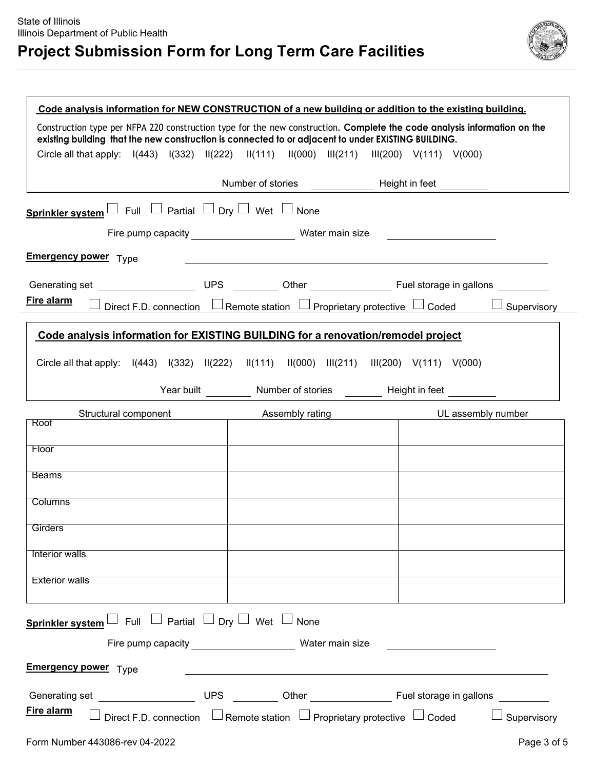# **Project Submission Form for Long Term Care Facilities**



|                                                                                                                                                                                                                                 | Code analysis information for NEW CONSTRUCTION of a new building or addition to the existing building.                                  |                                                     |  |  |  |
|---------------------------------------------------------------------------------------------------------------------------------------------------------------------------------------------------------------------------------|-----------------------------------------------------------------------------------------------------------------------------------------|-----------------------------------------------------|--|--|--|
| Construction type per NFPA 220 construction type for the new construction. Complete the code analysis information on the<br>existing building that the new construction is connected to or adjacent to under EXISTING BUILDING. |                                                                                                                                         |                                                     |  |  |  |
|                                                                                                                                                                                                                                 | Circle all that apply: $ (443) \quad  (332) \quad  (222) \quad  (111) \quad  (000) \quad  (211) \quad  (200) \quad  (111) \quad  (000)$ |                                                     |  |  |  |
|                                                                                                                                                                                                                                 |                                                                                                                                         |                                                     |  |  |  |
| Sprinkler system $\Box$ Full $\Box$ Partial $\Box$ Dry $\Box$ Wet $\Box$ None                                                                                                                                                   |                                                                                                                                         |                                                     |  |  |  |
|                                                                                                                                                                                                                                 | Fire pump capacity exponent of the Water main size                                                                                      | <u> 1989 - John Stone</u>                           |  |  |  |
| <b>Emergency power</b> Type                                                                                                                                                                                                     | <u> 1980 - Johann Barn, mars an t-Amerikaansk politiker (* 1908)</u>                                                                    |                                                     |  |  |  |
|                                                                                                                                                                                                                                 |                                                                                                                                         |                                                     |  |  |  |
| Fire alarm                                                                                                                                                                                                                      | Direct F.D. connection $\Box$ Remote station $\Box$ Proprietary protective $\Box$ Coded                                                 | $\Box$ Supervisory                                  |  |  |  |
|                                                                                                                                                                                                                                 | Code analysis information for EXISTING BUILDING for a renovation/remodel project                                                        |                                                     |  |  |  |
|                                                                                                                                                                                                                                 | Circle all that apply: $I(443)$ $I(332)$ $I(222)$ $I(111)$ $I(000)$ $I(1211)$ $I(1200)$ $V(111)$ $V(000)$                               |                                                     |  |  |  |
|                                                                                                                                                                                                                                 | Year built __________ Number of stories _________ Height in feet _________                                                              |                                                     |  |  |  |
| Roof                                                                                                                                                                                                                            | Structural component <b>Assembly rating CONFINGLE 2018</b> UL assembly number                                                           |                                                     |  |  |  |
|                                                                                                                                                                                                                                 |                                                                                                                                         |                                                     |  |  |  |
| Floor                                                                                                                                                                                                                           |                                                                                                                                         |                                                     |  |  |  |
| <b>Beams</b>                                                                                                                                                                                                                    |                                                                                                                                         |                                                     |  |  |  |
| <b>Columns</b>                                                                                                                                                                                                                  |                                                                                                                                         |                                                     |  |  |  |
| <b>Girders</b>                                                                                                                                                                                                                  |                                                                                                                                         |                                                     |  |  |  |
| Interior walls                                                                                                                                                                                                                  |                                                                                                                                         |                                                     |  |  |  |
| <b>Exterior walls</b>                                                                                                                                                                                                           |                                                                                                                                         |                                                     |  |  |  |
|                                                                                                                                                                                                                                 |                                                                                                                                         |                                                     |  |  |  |
| Sprinkler system L Full L Partial L Dry L Wet D None                                                                                                                                                                            |                                                                                                                                         |                                                     |  |  |  |
|                                                                                                                                                                                                                                 |                                                                                                                                         | <u> 1980 - Andrea Station Barbara, amerikan per</u> |  |  |  |
| <b>Emergency power</b> Type                                                                                                                                                                                                     | <u> 1989 - Johann Barbara, martxa alemaniar amerikan a</u>                                                                              |                                                     |  |  |  |
|                                                                                                                                                                                                                                 |                                                                                                                                         |                                                     |  |  |  |
| Fire alarm                                                                                                                                                                                                                      | Direct F.D. connection $\Box$ Remote station $\Box$ Proprietary protective $\Box$ Coded                                                 | $\Box$ Supervisory                                  |  |  |  |
| Form Number 443086-rev 04-2022                                                                                                                                                                                                  |                                                                                                                                         | Page 3 of 5                                         |  |  |  |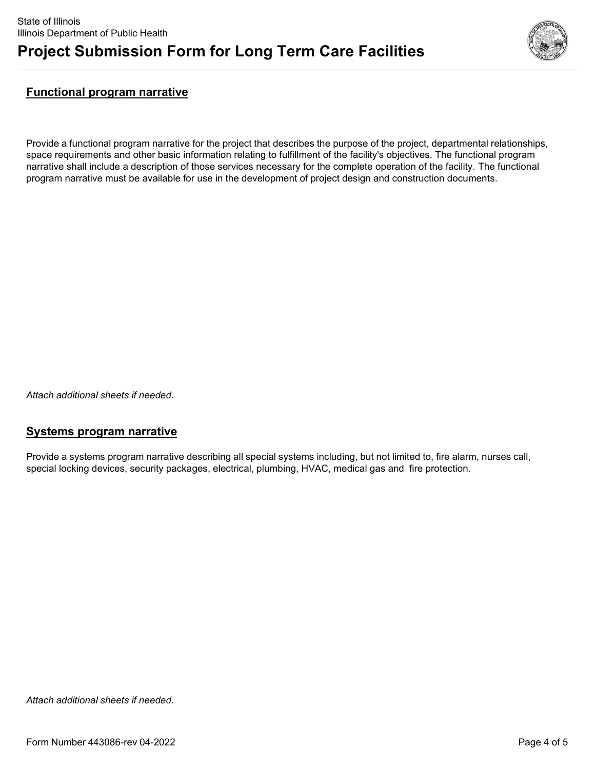

### **Functional program narrative**

Provide a functional program narrative for the project that describes the purpose of the project, departmental relationships, space requirements and other basic information relating to fulfillment of the facility's objectives. The functional program narrative shall include a description of those services necessary for the complete operation of the facility. The functional program narrative must be available for use in the development of project design and construction documents.

*Attach additional sheets if needed.*

#### **Systems program narrative**

Provide a systems program narrative describing all special systems including, but not limited to, fire alarm, nurses call, special locking devices, security packages, electrical, plumbing, HVAC, medical gas and fire protection.

*Attach additional sheets if needed.*